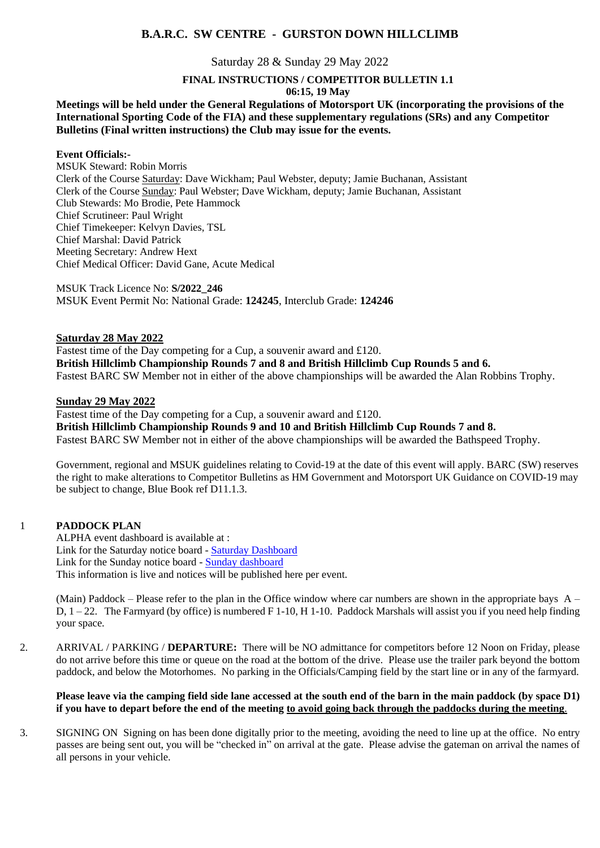# **B.A.R.C. SW CENTRE - GURSTON DOWN HILLCLIMB**

# Saturday 28 & Sunday 29 May 2022

## **FINAL INSTRUCTIONS / COMPETITOR BULLETIN 1.1**

#### **06:15, 19 May**

# **Meetings will be held under the General Regulations of Motorsport UK (incorporating the provisions of the International Sporting Code of the FIA) and these supplementary regulations (SRs) and any Competitor Bulletins (Final written instructions) the Club may issue for the events.**

# **Event Officials:-**

MSUK Steward: Robin Morris Clerk of the Course Saturday: Dave Wickham; Paul Webster, deputy; Jamie Buchanan, Assistant Clerk of the Course Sunday: Paul Webster; Dave Wickham, deputy; Jamie Buchanan, Assistant Club Stewards: Mo Brodie, Pete Hammock Chief Scrutineer: Paul Wright Chief Timekeeper: Kelvyn Davies, TSL Chief Marshal: David Patrick Meeting Secretary: Andrew Hext Chief Medical Officer: David Gane, Acute Medical

MSUK Track Licence No: **S/2022\_246** MSUK Event Permit No: National Grade: **124245**, Interclub Grade: **124246**

## **Saturday 28 May 2022**

Fastest time of the Day competing for a Cup, a souvenir award and £120. **British Hillclimb Championship Rounds 7 and 8 and British Hillclimb Cup Rounds 5 and 6.** Fastest BARC SW Member not in either of the above championships will be awarded the Alan Robbins Trophy.

## **Sunday 29 May 2022**

Fastest time of the Day competing for a Cup, a souvenir award and £120. **British Hillclimb Championship Rounds 9 and 10 and British Hillclimb Cup Rounds 7 and 8.** Fastest BARC SW Member not in either of the above championships will be awarded the Bathspeed Trophy.

Government, regional and MSUK guidelines relating to Covid-19 at the date of this event will apply. BARC (SW) reserves the right to make alterations to Competitor Bulletins as HM Government and Motorsport UK Guidance on COVID-19 may be subject to change, Blue Book ref D11.1.3.

## 1 **PADDOCK PLAN**

ALPHA event dashboard is available at : Link for the Saturday notice board - [Saturday Dashboard](https://gurstondown.alphatiming.co.uk/noticeboard/6343) Link for the Sunday notice board - [Sunday dashboard](https://gurstondown.alphatiming.co.uk/noticeboard/6344) This information is live and notices will be published here per event.

(Main) Paddock – Please refer to the plan in the Office window where car numbers are shown in the appropriate bays  $A -$ D, 1 – 22. The Farmyard (by office) is numbered F 1-10, H 1-10. Paddock Marshals will assist you if you need help finding your space.

2. ARRIVAL / PARKING / **DEPARTURE:** There will be NO admittance for competitors before 12 Noon on Friday, please do not arrive before this time or queue on the road at the bottom of the drive.Please use the trailer park beyond the bottom paddock, and below the Motorhomes. No parking in the Officials/Camping field by the start line or in any of the farmyard.

# **Please leave via the camping field side lane accessed at the south end of the barn in the main paddock (by space D1) if you have to depart before the end of the meeting to avoid going back through the paddocks during the meeting**.

3. SIGNING ON Signing on has been done digitally prior to the meeting, avoiding the need to line up at the office. No entry passes are being sent out, you will be "checked in" on arrival at the gate. Please advise the gateman on arrival the names of all persons in your vehicle.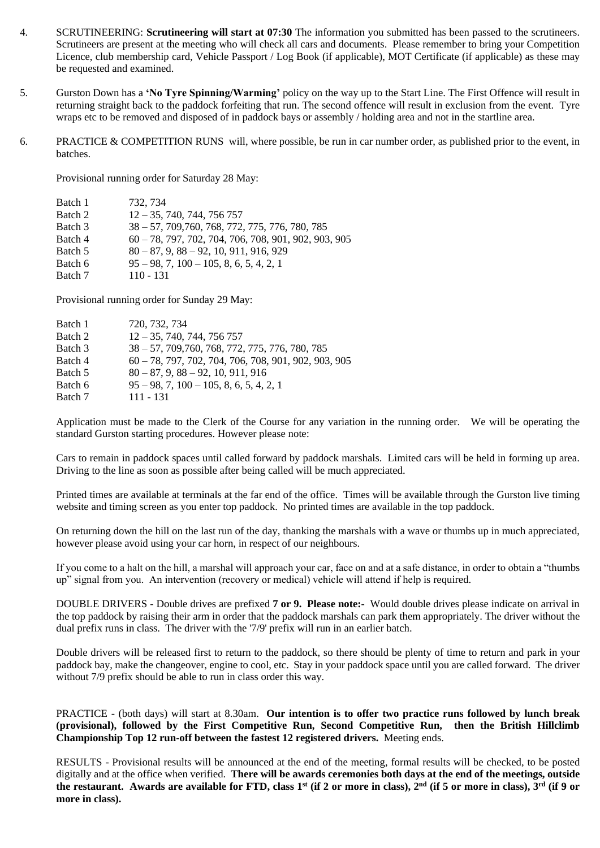- 4. SCRUTINEERING: **Scrutineering will start at 07:30** The information you submitted has been passed to the scrutineers. Scrutineers are present at the meeting who will check all cars and documents. Please remember to bring your Competition Licence, club membership card, Vehicle Passport / Log Book (if applicable), MOT Certificate (if applicable) as these may be requested and examined.
- 5. Gurston Down has a **'No Tyre Spinning/Warming'** policy on the way up to the Start Line. The First Offence will result in returning straight back to the paddock forfeiting that run. The second offence will result in exclusion from the event. Tyre wraps etc to be removed and disposed of in paddock bays or assembly / holding area and not in the startline area.
- 6. PRACTICE & COMPETITION RUNS will, where possible, be run in car number order, as published prior to the event, in batches.

Provisional running order for Saturday 28 May:

| Batch 1 | 732, 734                                                |
|---------|---------------------------------------------------------|
| Batch 2 | $12 - 35, 740, 744, 756, 757$                           |
| Batch 3 | $38 - 57, 709, 760, 768, 772, 775, 776, 780, 785$       |
| Batch 4 | $60 - 78$ , 797, 702, 704, 706, 708, 901, 902, 903, 905 |
| Batch 5 | $80 - 87, 9, 88 - 92, 10, 911, 916, 929$                |
| Batch 6 | $95 - 98$ , 7, $100 - 105$ , 8, 6, 5, 4, 2, 1           |
| Batch 7 | $110 - 131$                                             |

Provisional running order for Sunday 29 May:

| Batch 1 | 720, 732, 734                                          |
|---------|--------------------------------------------------------|
| Batch 2 | $12 - 35, 740, 744, 756, 757$                          |
| Batch 3 | 38 - 57, 709, 760, 768, 772, 775, 776, 780, 785        |
| Batch 4 | $60 - 78, 797, 702, 704, 706, 708, 901, 902, 903, 905$ |
| Batch 5 | $80 - 87$ , 9, $88 - 92$ , 10, 911, 916                |
| Batch 6 | $95 - 98$ , 7, $100 - 105$ , 8, 6, 5, 4, 2, 1          |
| Batch 7 | $111 - 131$                                            |

Application must be made to the Clerk of the Course for any variation in the running order. We will be operating the standard Gurston starting procedures. However please note:

Cars to remain in paddock spaces until called forward by paddock marshals. Limited cars will be held in forming up area. Driving to the line as soon as possible after being called will be much appreciated.

Printed times are available at terminals at the far end of the office. Times will be available through the Gurston live timing website and timing screen as you enter top paddock. No printed times are available in the top paddock.

On returning down the hill on the last run of the day, thanking the marshals with a wave or thumbs up in much appreciated, however please avoid using your car horn, in respect of our neighbours.

If you come to a halt on the hill, a marshal will approach your car, face on and at a safe distance, in order to obtain a "thumbs up" signal from you. An intervention (recovery or medical) vehicle will attend if help is required.

DOUBLE DRIVERS - Double drives are prefixed **7 or 9. Please note:-** Would double drives please indicate on arrival in the top paddock by raising their arm in order that the paddock marshals can park them appropriately. The driver without the dual prefix runs in class. The driver with the '7/9' prefix will run in an earlier batch.

Double drivers will be released first to return to the paddock, so there should be plenty of time to return and park in your paddock bay, make the changeover, engine to cool, etc. Stay in your paddock space until you are called forward. The driver without 7/9 prefix should be able to run in class order this way.

PRACTICE - (both days) will start at 8.30am. **Our intention is to offer two practice runs followed by lunch break (provisional), followed by the First Competitive Run, Second Competitive Run, then the British Hillclimb Championship Top 12 run-off between the fastest 12 registered drivers.** Meeting ends.

RESULTS - Provisional results will be announced at the end of the meeting, formal results will be checked, to be posted digitally and at the office when verified. **There will be awards ceremonies both days at the end of the meetings, outside the restaurant. Awards are available for FTD, class 1st (if 2 or more in class), 2nd (if 5 or more in class), 3rd (if 9 or more in class).**